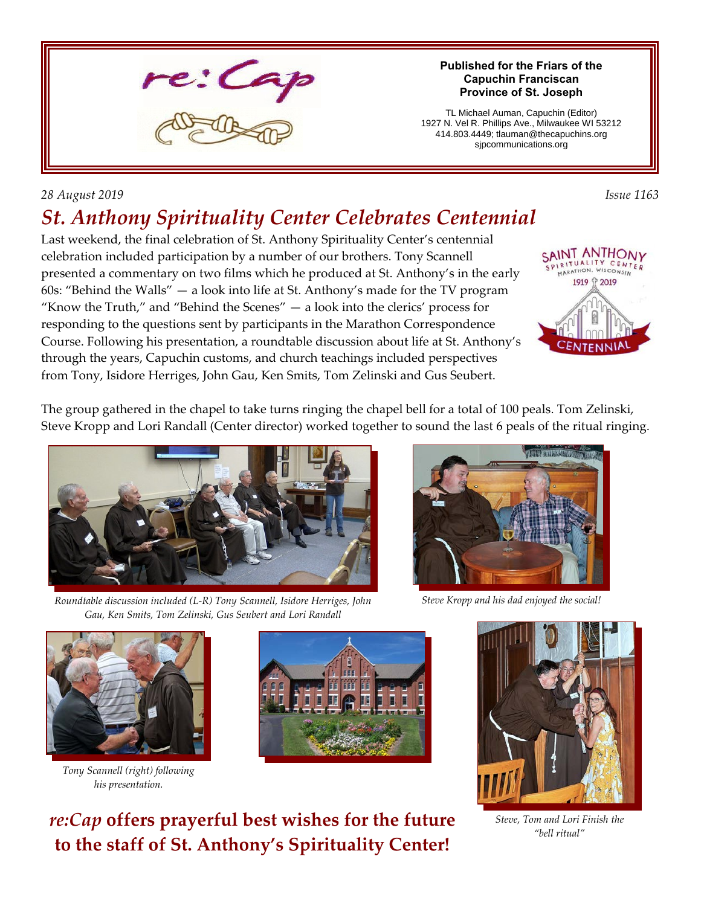

### **Published for the Friars of the Capuchin Franciscan Province of St. Joseph**

TL Michael Auman, Capuchin (Editor) 1927 N. Vel R. Phillips Ave., Milwaukee WI 53212 414.803.4449; tlauman@thecapuchins.org sjpcommunications.org

## *28 August 2019 Issue 1163*

# *St. Anthony Spirituality Center Celebrates Centennial*

Last weekend, the final celebration of St. Anthony Spirituality Center's centennial celebration included participation by a number of our brothers. Tony Scannell presented a commentary on two films which he produced at St. Anthony's in the early 60s: "Behind the Walls" — a look into life at St. Anthony's made for the TV program "Know the Truth," and "Behind the Scenes"  $-$  a look into the clerics' process for responding to the questions sent by participants in the Marathon Correspondence Course. Following his presentation, a roundtable discussion about life at St. Anthony's through the years, Capuchin customs, and church teachings included perspectives from Tony, Isidore Herriges, John Gau, Ken Smits, Tom Zelinski and Gus Seubert.



The group gathered in the chapel to take turns ringing the chapel bell for a total of 100 peals. Tom Zelinski, Steve Kropp and Lori Randall (Center director) worked together to sound the last 6 peals of the ritual ringing.



*Roundtable discussion included (L-R) Tony Scannell, Isidore Herriges, John Gau, Ken Smits, Tom Zelinski, Gus Seubert and Lori Randall*



*Steve Kropp and his dad enjoyed the social!*



*Tony Scannell (right) following his presentation.*



*re:Cap* **offers prayerful best wishes for the future to the staff of St. Anthony's Spirituality Center!**



*Steve, Tom and Lori Finish the "bell ritual"*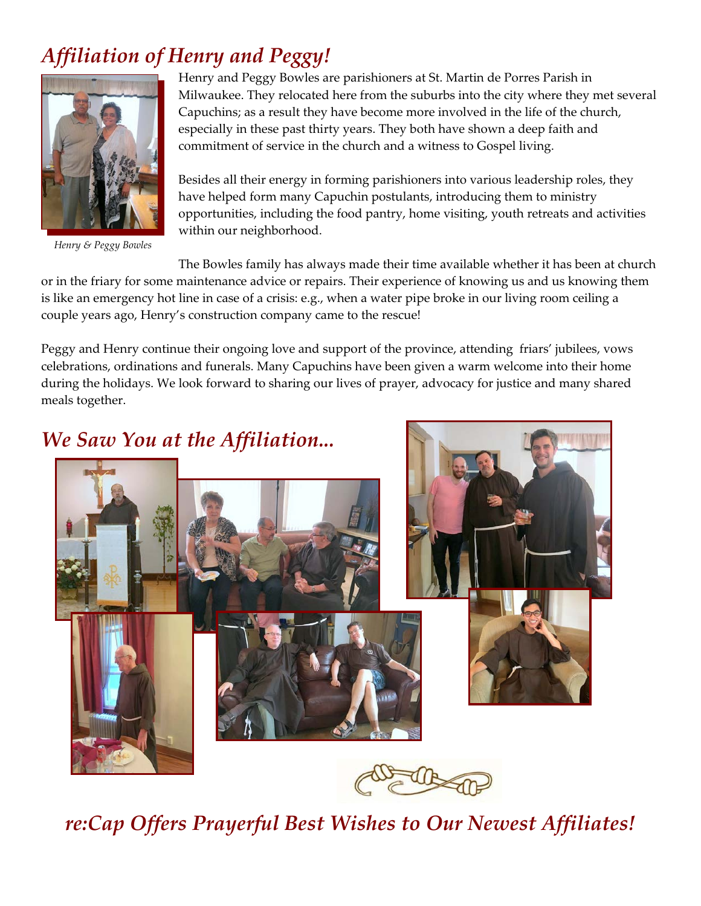# *Affiliation of Henry and Peggy!*



*Henry & Peggy Bowles*

Henry and Peggy Bowles are parishioners at St. Martin de Porres Parish in Milwaukee. They relocated here from the suburbs into the city where they met several Capuchins; as a result they have become more involved in the life of the church, especially in these past thirty years. They both have shown a deep faith and commitment of service in the church and a witness to Gospel living.

Besides all their energy in forming parishioners into various leadership roles, they have helped form many Capuchin postulants, introducing them to ministry opportunities, including the food pantry, home visiting, youth retreats and activities within our neighborhood.

The Bowles family has always made their time available whether it has been at church or in the friary for some maintenance advice or repairs. Their experience of knowing us and us knowing them is like an emergency hot line in case of a crisis: e.g., when a water pipe broke in our living room ceiling a couple years ago, Henry's construction company came to the rescue!

Peggy and Henry continue their ongoing love and support of the province, attending friars' jubilees, vows celebrations, ordinations and funerals. Many Capuchins have been given a warm welcome into their home during the holidays. We look forward to sharing our lives of prayer, advocacy for justice and many shared meals together.

# *We Saw You at the Affiliation...*

*re:Cap Offers Prayerful Best Wishes to Our Newest Affiliates!*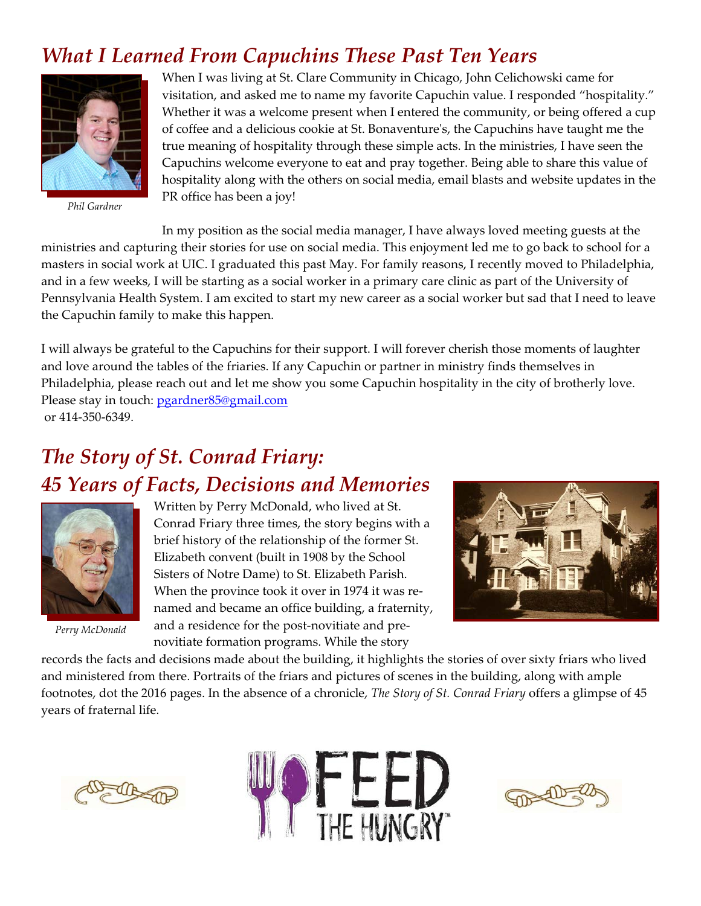## *What I Learned From Capuchins These Past Ten Years*



*Phil Gardner*

When I was living at St. Clare Community in Chicago, John Celichowski came for visitation, and asked me to name my favorite Capuchin value. I responded "hospitality." Whether it was a welcome present when I entered the community, or being offered a cup of coffee and a delicious cookie at St. Bonaventure's, the Capuchins have taught me the true meaning of hospitality through these simple acts. In the ministries, I have seen the Capuchins welcome everyone to eat and pray together. Being able to share this value of hospitality along with the others on social media, email blasts and website updates in the PR office has been a joy!

In my position as the social media manager, I have always loved meeting guests at the ministries and capturing their stories for use on social media. This enjoyment led me to go back to school for a masters in social work at UIC. I graduated this past May. For family reasons, I recently moved to Philadelphia, and in a few weeks, I will be starting as a social worker in a primary care clinic as part of the University of Pennsylvania Health System. I am excited to start my new career as a social worker but sad that I need to leave the Capuchin family to make this happen.

I will always be grateful to the Capuchins for their support. I will forever cherish those moments of laughter and love around the tables of the friaries. If any Capuchin or partner in ministry finds themselves in Philadelphia, please reach out and let me show you some Capuchin hospitality in the city of brotherly love. Please stay in touch: [pgardner85@gmail.com](mailto:pgardner85@gmail.com) or 414-350-6349.

# *The Story of St. Conrad Friary: 45 Years of Facts, Decisions and Memories*



*Perry McDonald*

Written by Perry McDonald, who lived at St. Conrad Friary three times, the story begins with a brief history of the relationship of the former St. Elizabeth convent (built in 1908 by the School Sisters of Notre Dame) to St. Elizabeth Parish. When the province took it over in 1974 it was renamed and became an office building, a fraternity, and a residence for the post-novitiate and prenovitiate formation programs. While the story



records the facts and decisions made about the building, it highlights the stories of over sixty friars who lived and ministered from there. Portraits of the friars and pictures of scenes in the building, along with ample footnotes, dot the 2016 pages. In the absence of a chronicle, *The Story of St. Conrad Friary* offers a glimpse of 45 years of fraternal life.